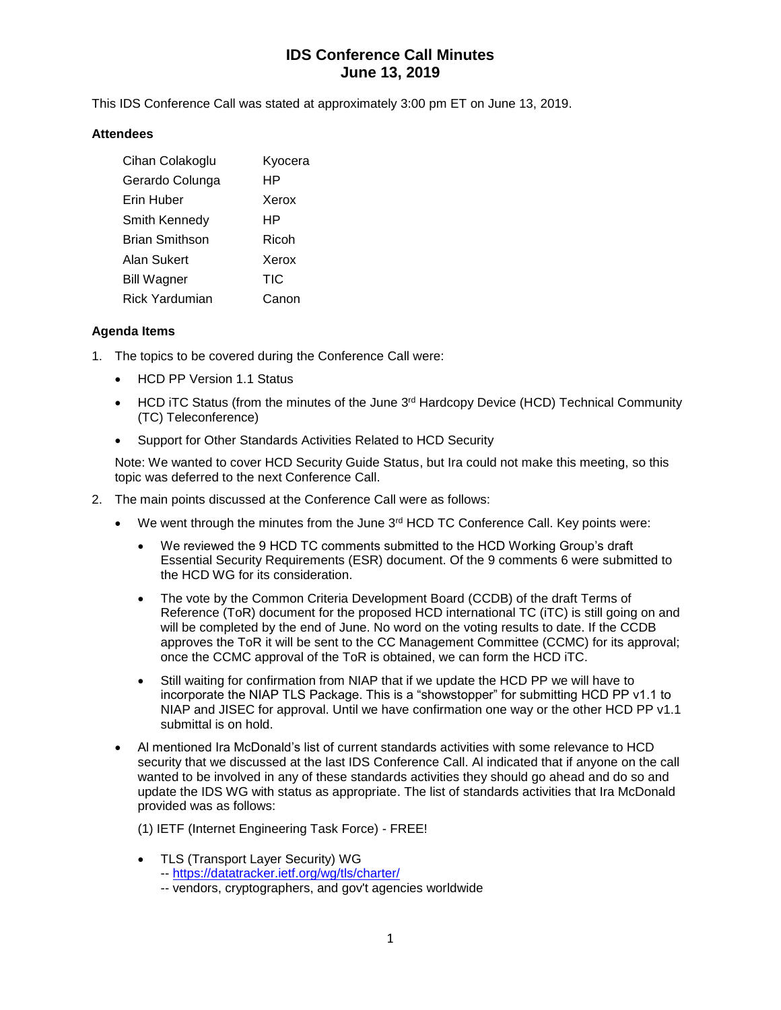# **IDS Conference Call Minutes June 13, 2019**

This IDS Conference Call was stated at approximately 3:00 pm ET on June 13, 2019.

### **Attendees**

| Cihan Colakoglu    | Kyocera    |
|--------------------|------------|
| Gerardo Colunga    | HP         |
| Erin Huber         | Xerox      |
| Smith Kennedy      | HP         |
| Brian Smithson     | Ricoh      |
| Alan Sukert        | Xerox      |
| <b>Bill Wagner</b> | <b>TIC</b> |
| Rick Yardumian     | Canon      |

### **Agenda Items**

- 1. The topics to be covered during the Conference Call were:
	- HCD PP Version 1.1 Status
	- HCD iTC Status (from the minutes of the June  $3<sup>rd</sup>$  Hardcopy Device (HCD) Technical Community (TC) Teleconference)
	- Support for Other Standards Activities Related to HCD Security

Note: We wanted to cover HCD Security Guide Status, but Ira could not make this meeting, so this topic was deferred to the next Conference Call.

- 2. The main points discussed at the Conference Call were as follows:
	- We went through the minutes from the June  $3<sup>rd</sup>$  HCD TC Conference Call. Key points were:
		- We reviewed the 9 HCD TC comments submitted to the HCD Working Group's draft Essential Security Requirements (ESR) document. Of the 9 comments 6 were submitted to the HCD WG for its consideration.
		- The vote by the Common Criteria Development Board (CCDB) of the draft Terms of Reference (ToR) document for the proposed HCD international TC (iTC) is still going on and will be completed by the end of June. No word on the voting results to date. If the CCDB approves the ToR it will be sent to the CC Management Committee (CCMC) for its approval; once the CCMC approval of the ToR is obtained, we can form the HCD iTC.
		- Still waiting for confirmation from NIAP that if we update the HCD PP we will have to incorporate the NIAP TLS Package. This is a "showstopper" for submitting HCD PP v1.1 to NIAP and JISEC for approval. Until we have confirmation one way or the other HCD PP v1.1 submittal is on hold.
	- Al mentioned Ira McDonald's list of current standards activities with some relevance to HCD security that we discussed at the last IDS Conference Call. Al indicated that if anyone on the call wanted to be involved in any of these standards activities they should go ahead and do so and update the IDS WG with status as appropriate. The list of standards activities that Ira McDonald provided was as follows:
		- (1) IETF (Internet Engineering Task Force) FREE!
		- TLS (Transport Layer Security) WG
			- -- <https://datatracker.ietf.org/wg/tls/charter/>
			- -- vendors, cryptographers, and gov't agencies worldwide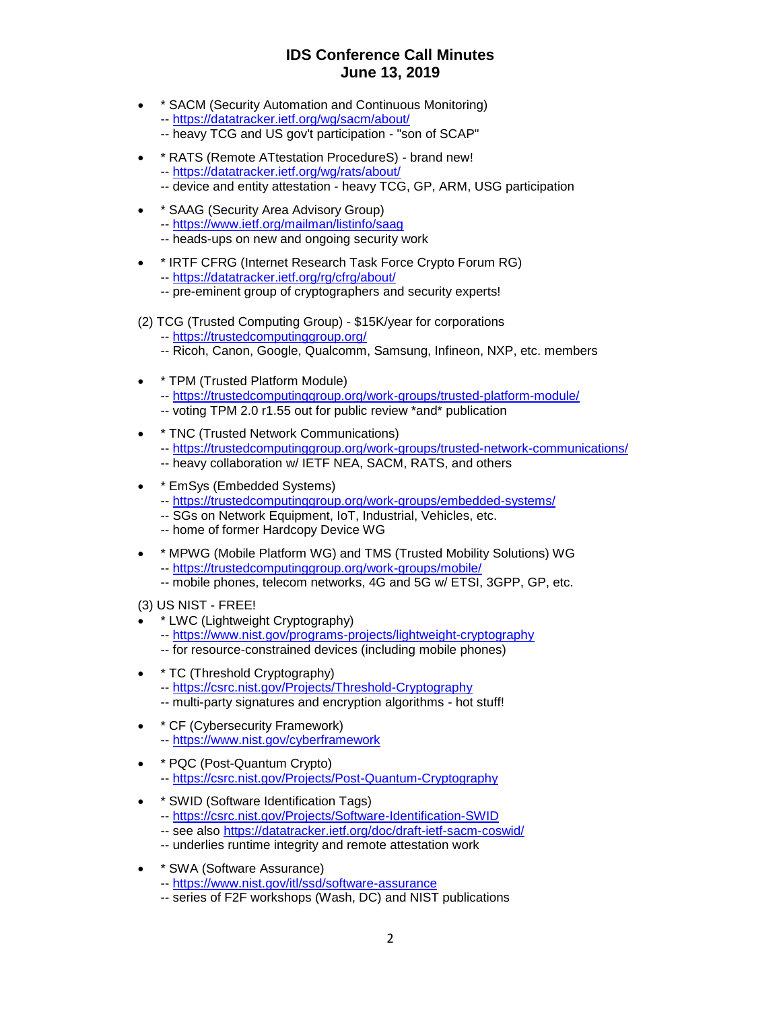## **IDS Conference Call Minutes June 13, 2019**

- \* SACM (Security Automation and Continuous Monitoring) -- <https://datatracker.ietf.org/wg/sacm/about/>
	- -- heavy TCG and US gov't participation "son of SCAP"
- \* RATS (Remote ATtestation ProcedureS) brand new! -- <https://datatracker.ietf.org/wg/rats/about/>
	- -- device and entity attestation heavy TCG, GP, ARM, USG participation
- \* SAAG (Security Area Advisory Group) -- <https://www.ietf.org/mailman/listinfo/saag>
	- -- heads-ups on new and ongoing security work
- \* IRTF CFRG (Internet Research Task Force Crypto Forum RG) -- <https://datatracker.ietf.org/rg/cfrg/about/>
	- -- pre-eminent group of cryptographers and security experts!
- (2) TCG (Trusted Computing Group) \$15K/year for corporations
	- -- <https://trustedcomputinggroup.org/>
	- -- Ricoh, Canon, Google, Qualcomm, Samsung, Infineon, NXP, etc. members
- \* TPM (Trusted Platform Module)
	- -- <https://trustedcomputinggroup.org/work-groups/trusted-platform-module/>
	- -- voting TPM 2.0 r1.55 out for public review \*and\* publication
- \* TNC (Trusted Network Communications) -- <https://trustedcomputinggroup.org/work-groups/trusted-network-communications/> -- heavy collaboration w/ IETF NEA, SACM, RATS, and others
- \* EmSys (Embedded Systems)
	- -- <https://trustedcomputinggroup.org/work-groups/embedded-systems/>
	- -- SGs on Network Equipment, IoT, Industrial, Vehicles, etc.
	- -- home of former Hardcopy Device WG
- \* MPWG (Mobile Platform WG) and TMS (Trusted Mobility Solutions) WG -- <https://trustedcomputinggroup.org/work-groups/mobile/>
	- -- mobile phones, telecom networks, 4G and 5G w/ ETSI, 3GPP, GP, etc.
- (3) US NIST FREE!
- \* LWC (Lightweight Cryptography)
	- -- <https://www.nist.gov/programs-projects/lightweight-cryptography>
	- -- for resource-constrained devices (including mobile phones)
- \* TC (Threshold Cryptography) -- <https://csrc.nist.gov/Projects/Threshold-Cryptography> -- multi-party signatures and encryption algorithms - hot stuff!
- \* CF (Cybersecurity Framework) -- <https://www.nist.gov/cyberframework>
- \* PQC (Post-Quantum Crypto) -- <https://csrc.nist.gov/Projects/Post-Quantum-Cryptography>
- \* SWID (Software Identification Tags)
	- -- <https://csrc.nist.gov/Projects/Software-Identification-SWID>
	- -- see also<https://datatracker.ietf.org/doc/draft-ietf-sacm-coswid/>
	- -- underlies runtime integrity and remote attestation work
- \* SWA (Software Assurance)
	- -- <https://www.nist.gov/itl/ssd/software-assurance>
	- -- series of F2F workshops (Wash, DC) and NIST publications